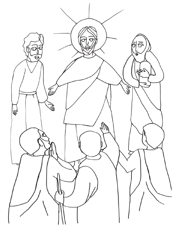